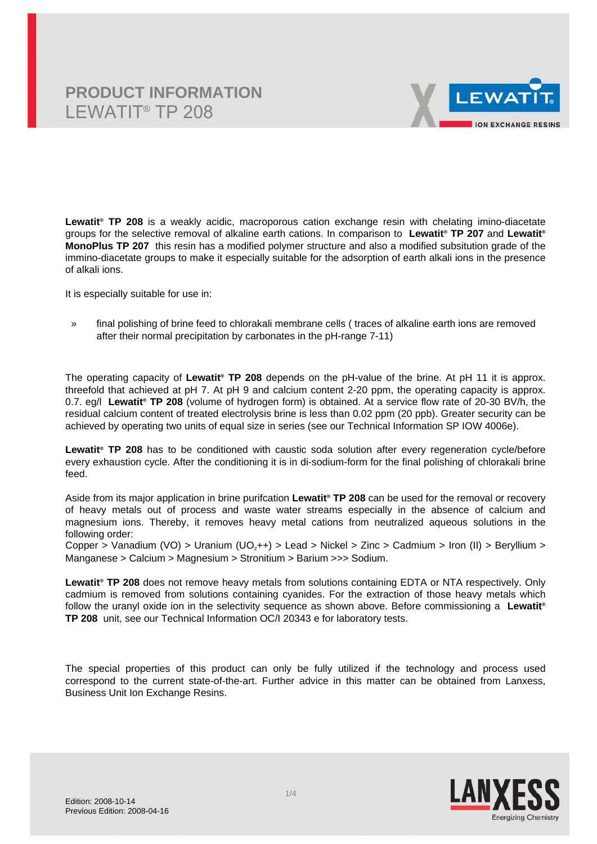

**Lewatit® TP 208** is a weakly acidic, macroporous cation exchange resin with chelating imino-diacetate groups for the selective removal of alkaline earth cations. In comparison to **Lewatit® TP 207** and **Lewatit® MonoPlus TP 207** this resin has a modified polymer structure and also a modified subsitution grade of the immino-diacetate groups to make it especially suitable for the adsorption of earth alkali ions in the presence of alkali ions.

It is especially suitable for use in:

» final polishing of brine feed to chlorakali membrane cells ( traces of alkaline earth ions are removed after their normal precipitation by carbonates in the pH-range 7-11)

The operating capacity of **Lewatit® TP 208** depends on the pH-value of the brine. At pH 11 it is approx. threefold that achieved at pH 7. At pH 9 and calcium content 2-20 ppm, the operating capacity is approx. 0.7. eg/l **Lewatit® TP 208** (volume of hydrogen form) is obtained. At a service flow rate of 20-30 BV/h, the residual calcium content of treated electrolysis brine is less than 0.02 ppm (20 ppb). Greater security can be achieved by operating two units of equal size in series (see our Technical Information SP IOW 4006e).

**Lewatit® TP 208** has to be conditioned with caustic soda solution after every regeneration cycle/before every exhaustion cycle. After the conditioning it is in di-sodium-form for the final polishing of chlorakali brine feed.

Aside from its major application in brine purifcation **Lewatit® TP 208** can be used for the removal or recovery of heavy metals out of process and waste water streams especially in the absence of calcium and magnesium ions. Thereby, it removes heavy metal cations from neutralized aqueous solutions in the following order:

Copper > Vanadium (VO) > Uranium (UO<sub>2</sub>++) > Lead > Nickel > Zinc > Cadmium > Iron (II) > Beryllium > Manganese > Calcium > Magnesium > Stronitium > Barium >>> Sodium.

**Lewatit® TP 208** does not remove heavy metals from solutions containing EDTA or NTA respectively. Only cadmium is removed from solutions containing cyanides. For the extraction of those heavy metals which follow the uranyl oxide ion in the selectivity sequence as shown above. Before commissioning a **Lewatit® TP 208** unit, see our Technical Information OC/I 20343 e for laboratory tests.

The special properties of this product can only be fully utilized if the technology and process used correspond to the current state-of-the-art. Further advice in this matter can be obtained from Lanxess, Business Unit Ion Exchange Resins.

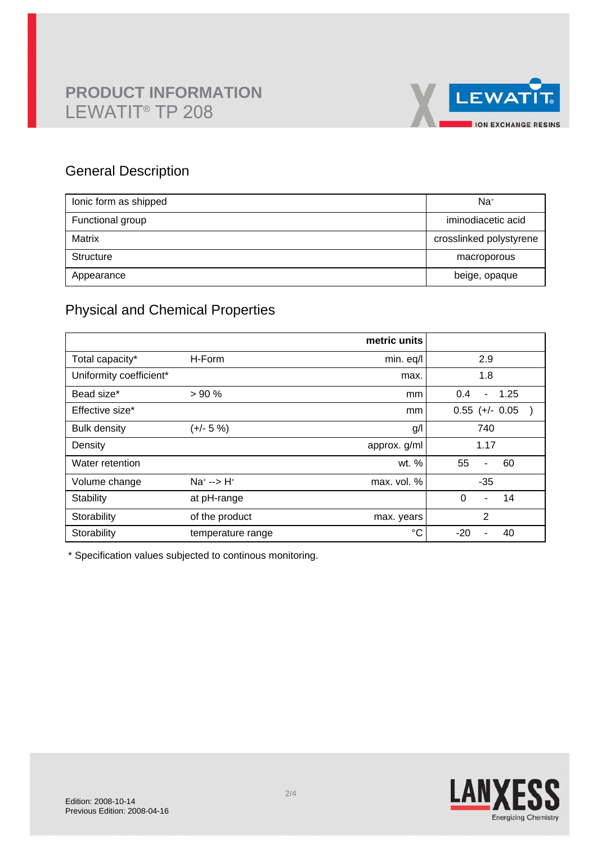

# General Description

| lonic form as shipped | Na <sup>+</sup>         |
|-----------------------|-------------------------|
| Functional group      | iminodiacetic acid      |
| Matrix                | crosslinked polystyrene |
| Structure             | macroporous             |
| Appearance            | beige, opaque           |

# Physical and Chemical Properties

|                         |                      | metric units |                               |
|-------------------------|----------------------|--------------|-------------------------------|
| Total capacity*         | H-Form               | min. eq/l    | 2.9                           |
| Uniformity coefficient* |                      | max.         | 1.8                           |
| Bead size*              | > 90%                | mm           | 1.25<br>0.4<br>$\blacksquare$ |
| Effective size*         |                      | mm           | $0.55$ (+/- 0.05              |
| <b>Bulk density</b>     | $(+/- 5%)$           | g/l          | 740                           |
| Density                 |                      | approx. g/ml | 1.17                          |
| Water retention         |                      | wt. %        | 55<br>60<br>$\blacksquare$    |
| Volume change           | $Na^{+}$ --> $H^{+}$ | max. vol. %  | $-35$                         |
| Stability               | at pH-range          |              | $\Omega$<br>14<br>٠           |
| Storability             | of the product       | max. years   | $\overline{2}$                |
| Storability             | temperature range    | $^{\circ}C$  | $-20$<br>40                   |

\* Specification values subjected to continous monitoring.

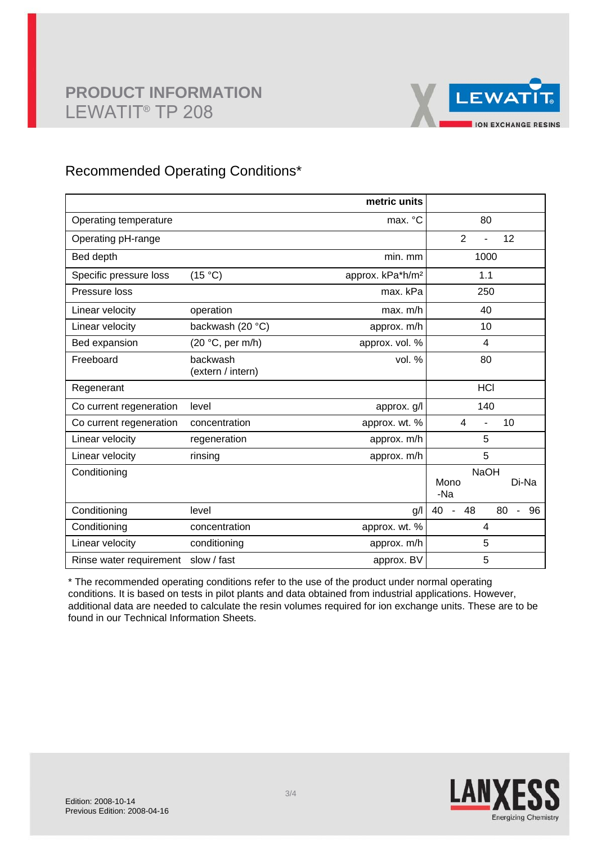

## Recommended Operating Conditions\*

|                         |                               | metric units                 |                                                                              |
|-------------------------|-------------------------------|------------------------------|------------------------------------------------------------------------------|
| Operating temperature   |                               | max. °C                      | 80                                                                           |
| Operating pH-range      |                               |                              | $\overline{2}$<br>12                                                         |
| Bed depth               |                               | min. mm                      | 1000                                                                         |
| Specific pressure loss  | (15 °C)                       | approx. kPa*h/m <sup>2</sup> | 1.1                                                                          |
| Pressure loss           |                               | max. kPa                     | 250                                                                          |
| Linear velocity         | operation                     | max. m/h                     | 40                                                                           |
| Linear velocity         | backwash (20 °C)              | approx. m/h                  | 10                                                                           |
| Bed expansion           | (20 °C, per m/h)              | approx. vol. %               | $\overline{4}$                                                               |
| Freeboard               | backwash<br>(extern / intern) | vol. %                       | 80                                                                           |
| Regenerant              |                               |                              | <b>HCI</b>                                                                   |
| Co current regeneration | level                         | approx. g/l                  | 140                                                                          |
| Co current regeneration | concentration                 | approx. wt. %                | $\overline{4}$<br>10<br>L.                                                   |
| Linear velocity         | regeneration                  | approx. m/h                  | 5                                                                            |
| Linear velocity         | rinsing                       | approx. m/h                  | 5                                                                            |
| Conditioning            |                               |                              | <b>NaOH</b><br>Di-Na<br>Mono<br>-Na                                          |
| Conditioning            | level                         | g/l                          | 48<br>80<br>40<br>96<br>$\overline{\phantom{a}}$<br>$\overline{\phantom{0}}$ |
| Conditioning            | concentration                 | approx. wt. %                | 4                                                                            |
| Linear velocity         | conditioning                  | approx. m/h                  | 5                                                                            |
| Rinse water requirement | slow / fast                   | approx. BV                   | 5                                                                            |

\* The recommended operating conditions refer to the use of the product under normal operating conditions. It is based on tests in pilot plants and data obtained from industrial applications. However, additional data are needed to calculate the resin volumes required for ion exchange units. These are to be found in our Technical Information Sheets.